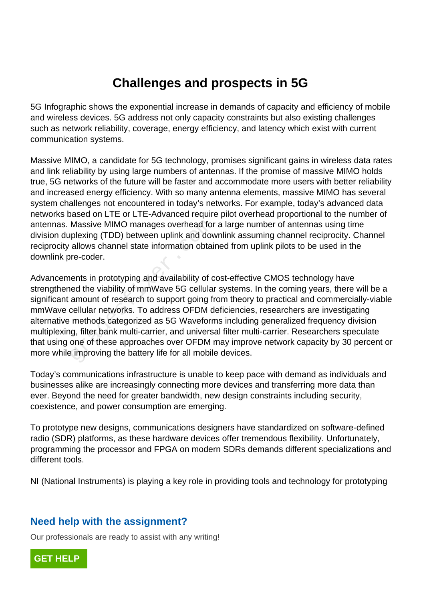## **Challenges and prospects in 5G**

5G Infographic shows the exponential increase in demands of capacity and efficiency of mobile and wireless devices. 5G address not only capacity constraints but also existing challenges such as network reliability, coverage, energy efficiency, and latency which exist with current communication systems.

Massive MIMO, a candidate for 5G technology, promises significant gains in wireless data rates and link reliability by using large numbers of antennas. If the promise of massive MIMO holds true, 5G networks of the future will be faster and accommodate more users with better reliability and increased energy efficiency. With so many antenna elements, massive MIMO has several system challenges not encountered in today's networks. For example, today's advanced data networks based on LTE or LTE-Advanced require pilot overhead proportional to the number of antennas. Massive MIMO manages overhead for a large number of antennas using time division duplexing (TDD) between uplink and downlink assuming channel reciprocity. Channel reciprocity allows channel state information obtained from uplink pilots to be used in the downlink pre-coder.

Advancements in prototyping and availability of cost-effective CMOS technology have strengthened the viability of mmWave 5G cellular systems. In the coming years, there will be a significant amount of research to support going from theory to practical and commercially-viable mmWave cellular networks. To address OFDM deficiencies, researchers are investigating alternative methods categorized as 5G Waveforms including generalized frequency division multiplexing, filter bank multi-carrier, and universal filter multi-carrier. Researchers speculate that using one of these approaches over OFDM may improve network capacity by 30 percent or more while improving the battery life for all mobile devices. Massive MIMO manages overhead for<br>plexing (TDD) between uplink and dow<br>allows channel state information obtain<br>re-coder.<br>ents in prototyping and availability of c<br>ned the viability of mmWave 5G cellular<br>amount of research

Today's communications infrastructure is unable to keep pace with demand as individuals and businesses alike are increasingly connecting more devices and transferring more data than ever. Beyond the need for greater bandwidth, new design constraints including security, coexistence, and power consumption are emerging.

To prototype new designs, communications designers have standardized on software-defined radio (SDR) platforms, as these hardware devices offer tremendous flexibility. Unfortunately, programming the processor and FPGA on modern SDRs demands different specializations and different tools.

NI (National Instruments) is playing a key role in providing tools and technology for prototyping

## **Need help with the assignment?**

Our professionals are ready to assist with any writing!